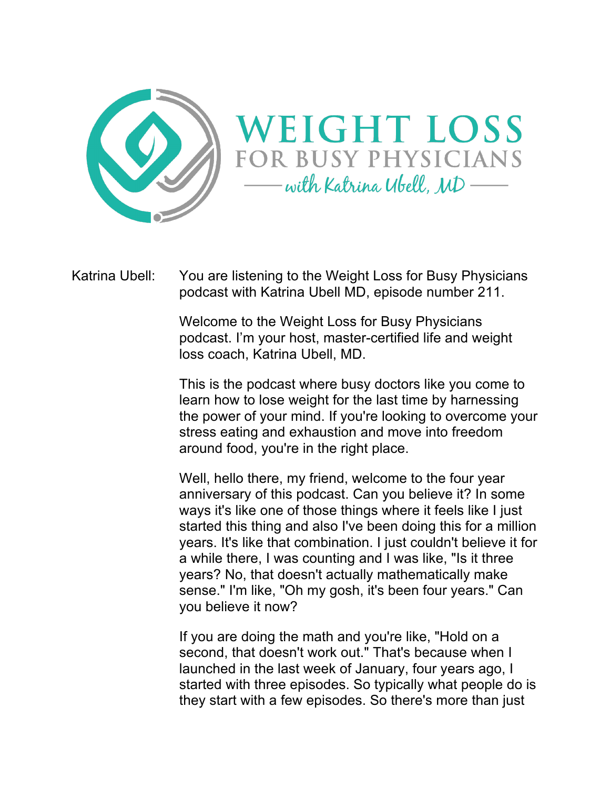



Katrina Ubell: You are listening to the Weight Loss for Busy Physicians podcast with Katrina Ubell MD, episode number 211.

> Welcome to the Weight Loss for Busy Physicians podcast. I'm your host, master-certified life and weight loss coach, Katrina Ubell, MD.

This is the podcast where busy doctors like you come to learn how to lose weight for the last time by harnessing the power of your mind. If you're looking to overcome your stress eating and exhaustion and move into freedom around food, you're in the right place.

Well, hello there, my friend, welcome to the four year anniversary of this podcast. Can you believe it? In some ways it's like one of those things where it feels like I just started this thing and also I've been doing this for a million years. It's like that combination. I just couldn't believe it for a while there, I was counting and I was like, "Is it three years? No, that doesn't actually mathematically make sense." I'm like, "Oh my gosh, it's been four years." Can you believe it now?

If you are doing the math and you're like, "Hold on a second, that doesn't work out." That's because when I launched in the last week of January, four years ago, I started with three episodes. So typically what people do is they start with a few episodes. So there's more than just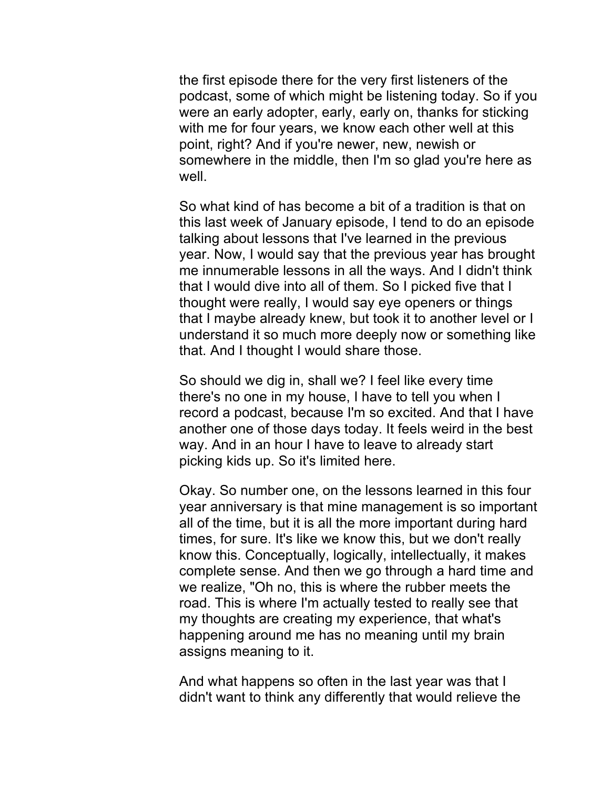the first episode there for the very first listeners of the podcast, some of which might be listening today. So if you were an early adopter, early, early on, thanks for sticking with me for four years, we know each other well at this point, right? And if you're newer, new, newish or somewhere in the middle, then I'm so glad you're here as well.

So what kind of has become a bit of a tradition is that on this last week of January episode, I tend to do an episode talking about lessons that I've learned in the previous year. Now, I would say that the previous year has brought me innumerable lessons in all the ways. And I didn't think that I would dive into all of them. So I picked five that I thought were really, I would say eye openers or things that I maybe already knew, but took it to another level or I understand it so much more deeply now or something like that. And I thought I would share those.

So should we dig in, shall we? I feel like every time there's no one in my house, I have to tell you when I record a podcast, because I'm so excited. And that I have another one of those days today. It feels weird in the best way. And in an hour I have to leave to already start picking kids up. So it's limited here.

Okay. So number one, on the lessons learned in this four year anniversary is that mine management is so important all of the time, but it is all the more important during hard times, for sure. It's like we know this, but we don't really know this. Conceptually, logically, intellectually, it makes complete sense. And then we go through a hard time and we realize, "Oh no, this is where the rubber meets the road. This is where I'm actually tested to really see that my thoughts are creating my experience, that what's happening around me has no meaning until my brain assigns meaning to it.

And what happens so often in the last year was that I didn't want to think any differently that would relieve the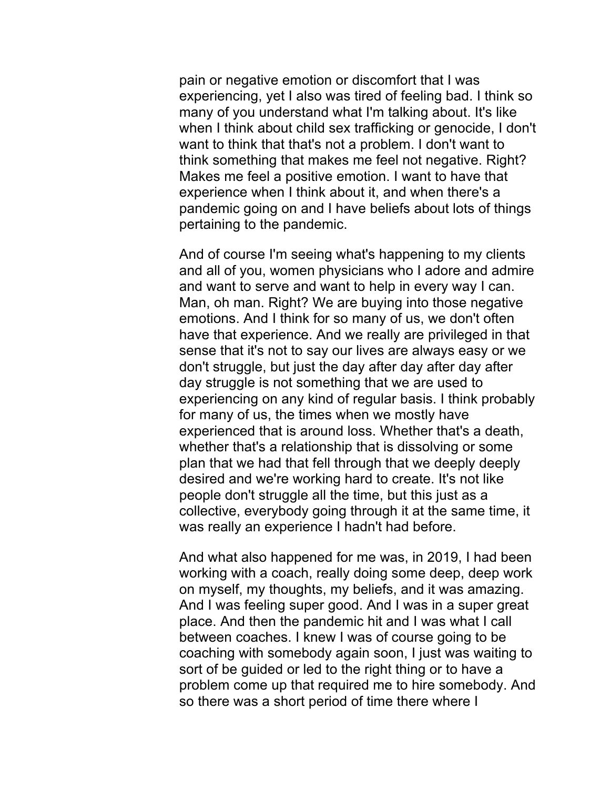pain or negative emotion or discomfort that I was experiencing, yet I also was tired of feeling bad. I think so many of you understand what I'm talking about. It's like when I think about child sex trafficking or genocide, I don't want to think that that's not a problem. I don't want to think something that makes me feel not negative. Right? Makes me feel a positive emotion. I want to have that experience when I think about it, and when there's a pandemic going on and I have beliefs about lots of things pertaining to the pandemic.

And of course I'm seeing what's happening to my clients and all of you, women physicians who I adore and admire and want to serve and want to help in every way I can. Man, oh man. Right? We are buying into those negative emotions. And I think for so many of us, we don't often have that experience. And we really are privileged in that sense that it's not to say our lives are always easy or we don't struggle, but just the day after day after day after day struggle is not something that we are used to experiencing on any kind of regular basis. I think probably for many of us, the times when we mostly have experienced that is around loss. Whether that's a death, whether that's a relationship that is dissolving or some plan that we had that fell through that we deeply deeply desired and we're working hard to create. It's not like people don't struggle all the time, but this just as a collective, everybody going through it at the same time, it was really an experience I hadn't had before.

And what also happened for me was, in 2019, I had been working with a coach, really doing some deep, deep work on myself, my thoughts, my beliefs, and it was amazing. And I was feeling super good. And I was in a super great place. And then the pandemic hit and I was what I call between coaches. I knew I was of course going to be coaching with somebody again soon, I just was waiting to sort of be guided or led to the right thing or to have a problem come up that required me to hire somebody. And so there was a short period of time there where I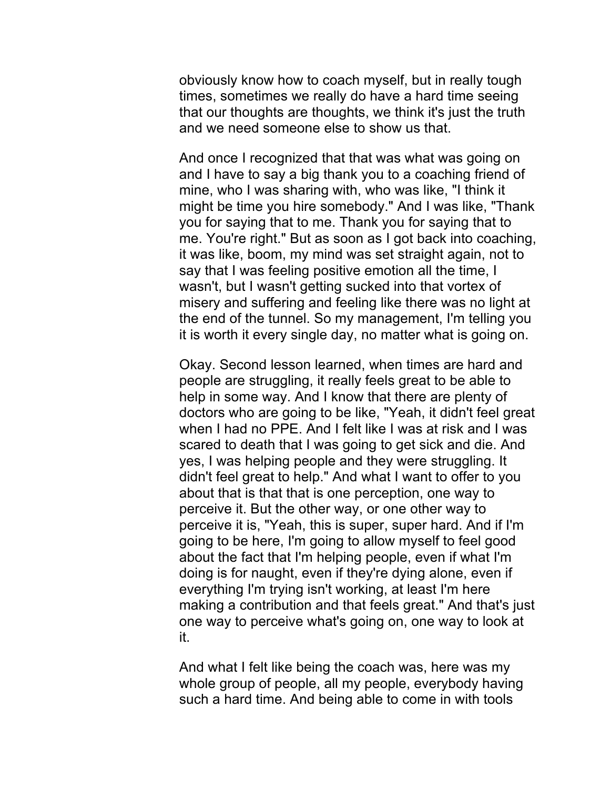obviously know how to coach myself, but in really tough times, sometimes we really do have a hard time seeing that our thoughts are thoughts, we think it's just the truth and we need someone else to show us that.

And once I recognized that that was what was going on and I have to say a big thank you to a coaching friend of mine, who I was sharing with, who was like, "I think it might be time you hire somebody." And I was like, "Thank you for saying that to me. Thank you for saying that to me. You're right." But as soon as I got back into coaching, it was like, boom, my mind was set straight again, not to say that I was feeling positive emotion all the time, I wasn't, but I wasn't getting sucked into that vortex of misery and suffering and feeling like there was no light at the end of the tunnel. So my management, I'm telling you it is worth it every single day, no matter what is going on.

Okay. Second lesson learned, when times are hard and people are struggling, it really feels great to be able to help in some way. And I know that there are plenty of doctors who are going to be like, "Yeah, it didn't feel great when I had no PPE. And I felt like I was at risk and I was scared to death that I was going to get sick and die. And yes, I was helping people and they were struggling. It didn't feel great to help." And what I want to offer to you about that is that that is one perception, one way to perceive it. But the other way, or one other way to perceive it is, "Yeah, this is super, super hard. And if I'm going to be here, I'm going to allow myself to feel good about the fact that I'm helping people, even if what I'm doing is for naught, even if they're dying alone, even if everything I'm trying isn't working, at least I'm here making a contribution and that feels great." And that's just one way to perceive what's going on, one way to look at it.

And what I felt like being the coach was, here was my whole group of people, all my people, everybody having such a hard time. And being able to come in with tools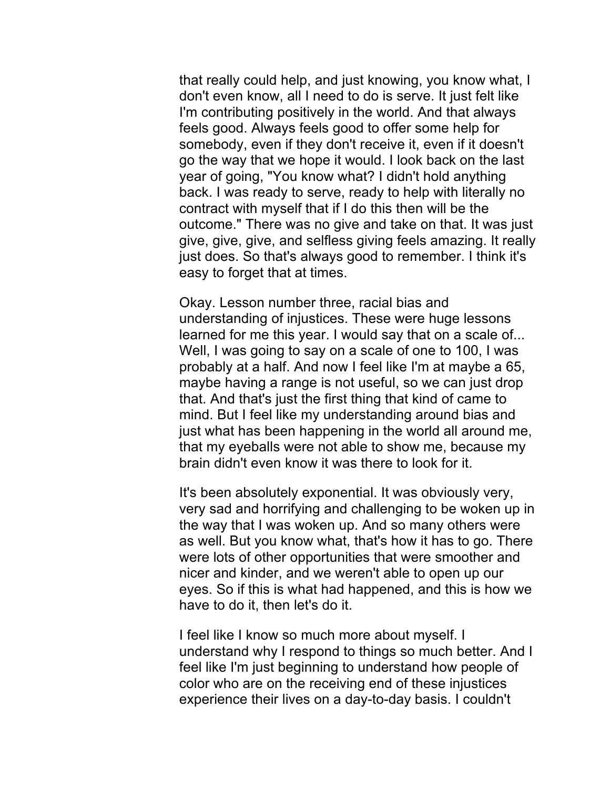that really could help, and just knowing, you know what, I don't even know, all I need to do is serve. It just felt like I'm contributing positively in the world. And that always feels good. Always feels good to offer some help for somebody, even if they don't receive it, even if it doesn't go the way that we hope it would. I look back on the last year of going, "You know what? I didn't hold anything back. I was ready to serve, ready to help with literally no contract with myself that if I do this then will be the outcome." There was no give and take on that. It was just give, give, give, and selfless giving feels amazing. It really just does. So that's always good to remember. I think it's easy to forget that at times.

Okay. Lesson number three, racial bias and understanding of injustices. These were huge lessons learned for me this year. I would say that on a scale of... Well, I was going to say on a scale of one to 100, I was probably at a half. And now I feel like I'm at maybe a 65, maybe having a range is not useful, so we can just drop that. And that's just the first thing that kind of came to mind. But I feel like my understanding around bias and just what has been happening in the world all around me, that my eyeballs were not able to show me, because my brain didn't even know it was there to look for it.

It's been absolutely exponential. It was obviously very, very sad and horrifying and challenging to be woken up in the way that I was woken up. And so many others were as well. But you know what, that's how it has to go. There were lots of other opportunities that were smoother and nicer and kinder, and we weren't able to open up our eyes. So if this is what had happened, and this is how we have to do it, then let's do it.

I feel like I know so much more about myself. I understand why I respond to things so much better. And I feel like I'm just beginning to understand how people of color who are on the receiving end of these injustices experience their lives on a day-to-day basis. I couldn't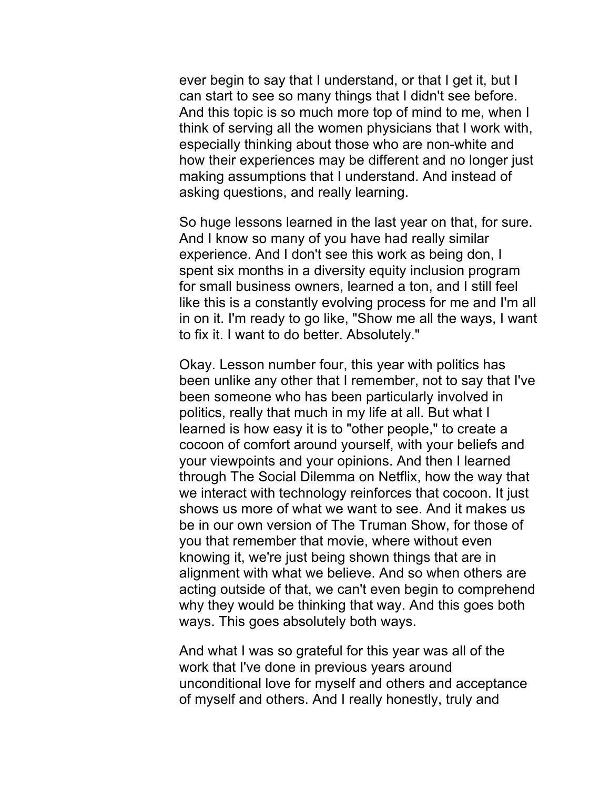ever begin to say that I understand, or that I get it, but I can start to see so many things that I didn't see before. And this topic is so much more top of mind to me, when I think of serving all the women physicians that I work with, especially thinking about those who are non-white and how their experiences may be different and no longer just making assumptions that I understand. And instead of asking questions, and really learning.

So huge lessons learned in the last year on that, for sure. And I know so many of you have had really similar experience. And I don't see this work as being don, I spent six months in a diversity equity inclusion program for small business owners, learned a ton, and I still feel like this is a constantly evolving process for me and I'm all in on it. I'm ready to go like, "Show me all the ways, I want to fix it. I want to do better. Absolutely."

Okay. Lesson number four, this year with politics has been unlike any other that I remember, not to say that I've been someone who has been particularly involved in politics, really that much in my life at all. But what I learned is how easy it is to "other people," to create a cocoon of comfort around yourself, with your beliefs and your viewpoints and your opinions. And then I learned through The Social Dilemma on Netflix, how the way that we interact with technology reinforces that cocoon. It just shows us more of what we want to see. And it makes us be in our own version of The Truman Show, for those of you that remember that movie, where without even knowing it, we're just being shown things that are in alignment with what we believe. And so when others are acting outside of that, we can't even begin to comprehend why they would be thinking that way. And this goes both ways. This goes absolutely both ways.

And what I was so grateful for this year was all of the work that I've done in previous years around unconditional love for myself and others and acceptance of myself and others. And I really honestly, truly and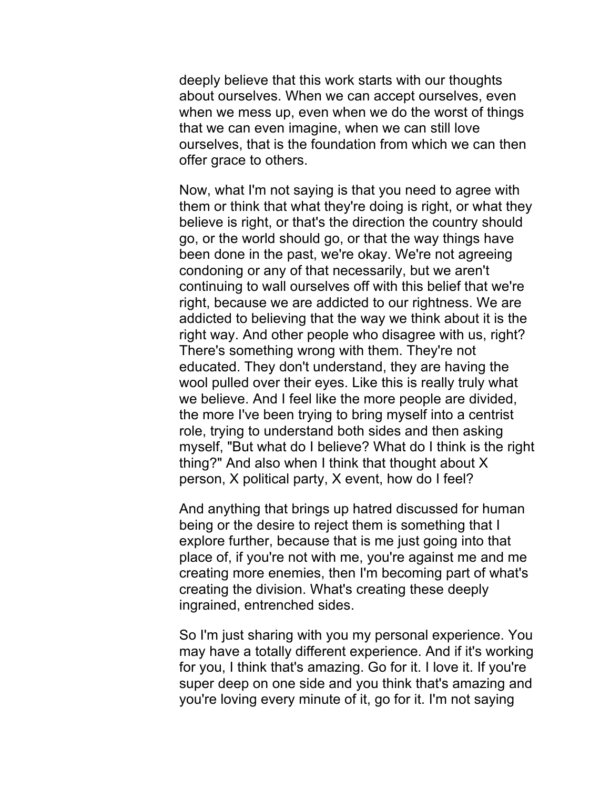deeply believe that this work starts with our thoughts about ourselves. When we can accept ourselves, even when we mess up, even when we do the worst of things that we can even imagine, when we can still love ourselves, that is the foundation from which we can then offer grace to others.

Now, what I'm not saying is that you need to agree with them or think that what they're doing is right, or what they believe is right, or that's the direction the country should go, or the world should go, or that the way things have been done in the past, we're okay. We're not agreeing condoning or any of that necessarily, but we aren't continuing to wall ourselves off with this belief that we're right, because we are addicted to our rightness. We are addicted to believing that the way we think about it is the right way. And other people who disagree with us, right? There's something wrong with them. They're not educated. They don't understand, they are having the wool pulled over their eyes. Like this is really truly what we believe. And I feel like the more people are divided, the more I've been trying to bring myself into a centrist role, trying to understand both sides and then asking myself, "But what do I believe? What do I think is the right thing?" And also when I think that thought about X person, X political party, X event, how do I feel?

And anything that brings up hatred discussed for human being or the desire to reject them is something that I explore further, because that is me just going into that place of, if you're not with me, you're against me and me creating more enemies, then I'm becoming part of what's creating the division. What's creating these deeply ingrained, entrenched sides.

So I'm just sharing with you my personal experience. You may have a totally different experience. And if it's working for you, I think that's amazing. Go for it. I love it. If you're super deep on one side and you think that's amazing and you're loving every minute of it, go for it. I'm not saying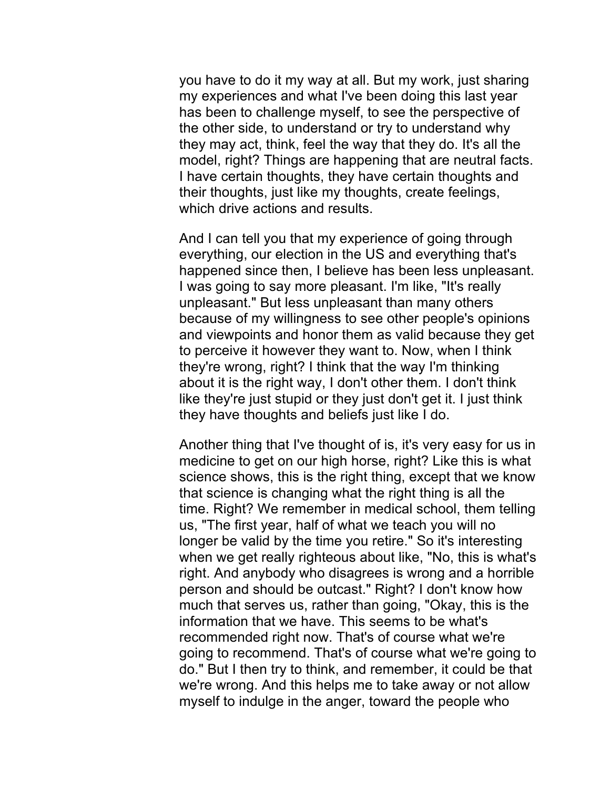you have to do it my way at all. But my work, just sharing my experiences and what I've been doing this last year has been to challenge myself, to see the perspective of the other side, to understand or try to understand why they may act, think, feel the way that they do. It's all the model, right? Things are happening that are neutral facts. I have certain thoughts, they have certain thoughts and their thoughts, just like my thoughts, create feelings, which drive actions and results.

And I can tell you that my experience of going through everything, our election in the US and everything that's happened since then, I believe has been less unpleasant. I was going to say more pleasant. I'm like, "It's really unpleasant." But less unpleasant than many others because of my willingness to see other people's opinions and viewpoints and honor them as valid because they get to perceive it however they want to. Now, when I think they're wrong, right? I think that the way I'm thinking about it is the right way, I don't other them. I don't think like they're just stupid or they just don't get it. I just think they have thoughts and beliefs just like I do.

Another thing that I've thought of is, it's very easy for us in medicine to get on our high horse, right? Like this is what science shows, this is the right thing, except that we know that science is changing what the right thing is all the time. Right? We remember in medical school, them telling us, "The first year, half of what we teach you will no longer be valid by the time you retire." So it's interesting when we get really righteous about like, "No, this is what's right. And anybody who disagrees is wrong and a horrible person and should be outcast." Right? I don't know how much that serves us, rather than going, "Okay, this is the information that we have. This seems to be what's recommended right now. That's of course what we're going to recommend. That's of course what we're going to do." But I then try to think, and remember, it could be that we're wrong. And this helps me to take away or not allow myself to indulge in the anger, toward the people who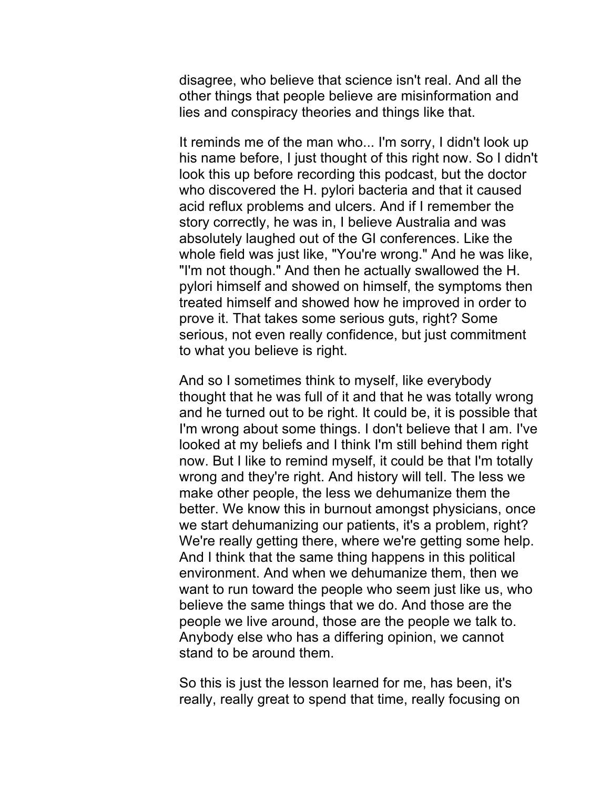disagree, who believe that science isn't real. And all the other things that people believe are misinformation and lies and conspiracy theories and things like that.

It reminds me of the man who... I'm sorry, I didn't look up his name before, I just thought of this right now. So I didn't look this up before recording this podcast, but the doctor who discovered the H. pylori bacteria and that it caused acid reflux problems and ulcers. And if I remember the story correctly, he was in, I believe Australia and was absolutely laughed out of the GI conferences. Like the whole field was just like, "You're wrong." And he was like, "I'm not though." And then he actually swallowed the H. pylori himself and showed on himself, the symptoms then treated himself and showed how he improved in order to prove it. That takes some serious guts, right? Some serious, not even really confidence, but just commitment to what you believe is right.

And so I sometimes think to myself, like everybody thought that he was full of it and that he was totally wrong and he turned out to be right. It could be, it is possible that I'm wrong about some things. I don't believe that I am. I've looked at my beliefs and I think I'm still behind them right now. But I like to remind myself, it could be that I'm totally wrong and they're right. And history will tell. The less we make other people, the less we dehumanize them the better. We know this in burnout amongst physicians, once we start dehumanizing our patients, it's a problem, right? We're really getting there, where we're getting some help. And I think that the same thing happens in this political environment. And when we dehumanize them, then we want to run toward the people who seem just like us, who believe the same things that we do. And those are the people we live around, those are the people we talk to. Anybody else who has a differing opinion, we cannot stand to be around them.

So this is just the lesson learned for me, has been, it's really, really great to spend that time, really focusing on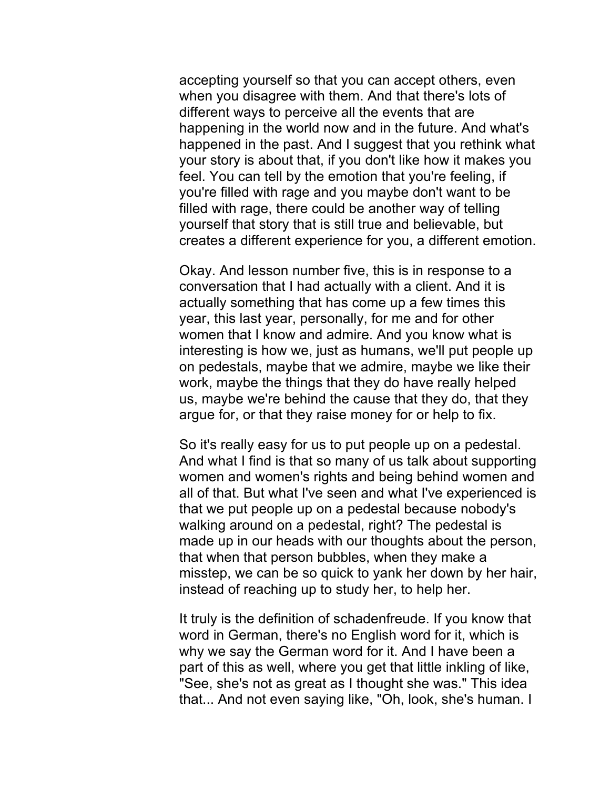accepting yourself so that you can accept others, even when you disagree with them. And that there's lots of different ways to perceive all the events that are happening in the world now and in the future. And what's happened in the past. And I suggest that you rethink what your story is about that, if you don't like how it makes you feel. You can tell by the emotion that you're feeling, if you're filled with rage and you maybe don't want to be filled with rage, there could be another way of telling yourself that story that is still true and believable, but creates a different experience for you, a different emotion.

Okay. And lesson number five, this is in response to a conversation that I had actually with a client. And it is actually something that has come up a few times this year, this last year, personally, for me and for other women that I know and admire. And you know what is interesting is how we, just as humans, we'll put people up on pedestals, maybe that we admire, maybe we like their work, maybe the things that they do have really helped us, maybe we're behind the cause that they do, that they argue for, or that they raise money for or help to fix.

So it's really easy for us to put people up on a pedestal. And what I find is that so many of us talk about supporting women and women's rights and being behind women and all of that. But what I've seen and what I've experienced is that we put people up on a pedestal because nobody's walking around on a pedestal, right? The pedestal is made up in our heads with our thoughts about the person, that when that person bubbles, when they make a misstep, we can be so quick to yank her down by her hair, instead of reaching up to study her, to help her.

It truly is the definition of schadenfreude. If you know that word in German, there's no English word for it, which is why we say the German word for it. And I have been a part of this as well, where you get that little inkling of like, "See, she's not as great as I thought she was." This idea that... And not even saying like, "Oh, look, she's human. I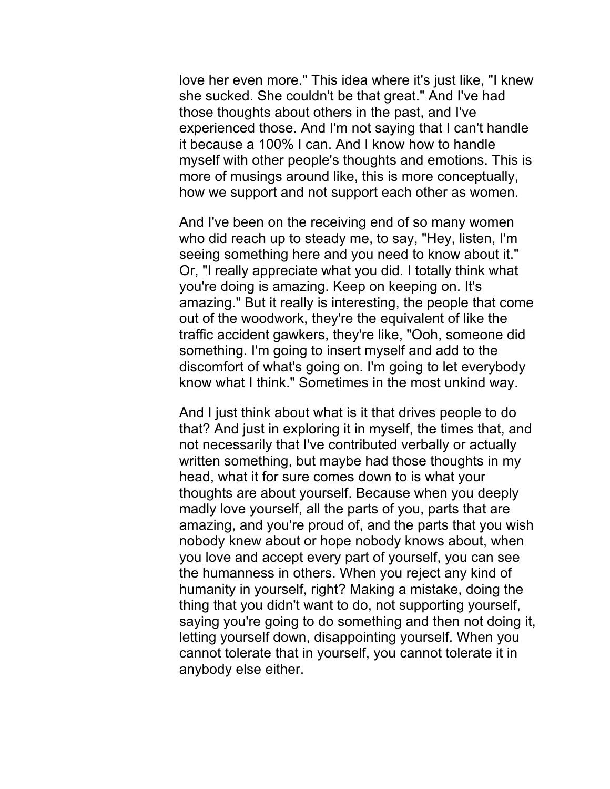love her even more." This idea where it's just like, "I knew she sucked. She couldn't be that great." And I've had those thoughts about others in the past, and I've experienced those. And I'm not saying that I can't handle it because a 100% I can. And I know how to handle myself with other people's thoughts and emotions. This is more of musings around like, this is more conceptually, how we support and not support each other as women.

And I've been on the receiving end of so many women who did reach up to steady me, to say, "Hey, listen, I'm seeing something here and you need to know about it." Or, "I really appreciate what you did. I totally think what you're doing is amazing. Keep on keeping on. It's amazing." But it really is interesting, the people that come out of the woodwork, they're the equivalent of like the traffic accident gawkers, they're like, "Ooh, someone did something. I'm going to insert myself and add to the discomfort of what's going on. I'm going to let everybody know what I think." Sometimes in the most unkind way.

And I just think about what is it that drives people to do that? And just in exploring it in myself, the times that, and not necessarily that I've contributed verbally or actually written something, but maybe had those thoughts in my head, what it for sure comes down to is what your thoughts are about yourself. Because when you deeply madly love yourself, all the parts of you, parts that are amazing, and you're proud of, and the parts that you wish nobody knew about or hope nobody knows about, when you love and accept every part of yourself, you can see the humanness in others. When you reject any kind of humanity in yourself, right? Making a mistake, doing the thing that you didn't want to do, not supporting yourself, saying you're going to do something and then not doing it, letting yourself down, disappointing yourself. When you cannot tolerate that in yourself, you cannot tolerate it in anybody else either.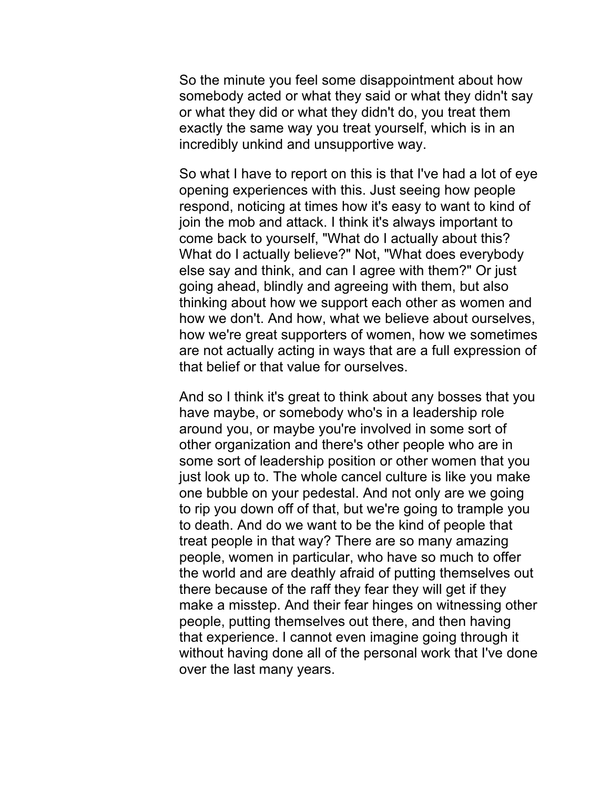So the minute you feel some disappointment about how somebody acted or what they said or what they didn't say or what they did or what they didn't do, you treat them exactly the same way you treat yourself, which is in an incredibly unkind and unsupportive way.

So what I have to report on this is that I've had a lot of eye opening experiences with this. Just seeing how people respond, noticing at times how it's easy to want to kind of join the mob and attack. I think it's always important to come back to yourself, "What do I actually about this? What do I actually believe?" Not, "What does everybody else say and think, and can I agree with them?" Or just going ahead, blindly and agreeing with them, but also thinking about how we support each other as women and how we don't. And how, what we believe about ourselves, how we're great supporters of women, how we sometimes are not actually acting in ways that are a full expression of that belief or that value for ourselves.

And so I think it's great to think about any bosses that you have maybe, or somebody who's in a leadership role around you, or maybe you're involved in some sort of other organization and there's other people who are in some sort of leadership position or other women that you just look up to. The whole cancel culture is like you make one bubble on your pedestal. And not only are we going to rip you down off of that, but we're going to trample you to death. And do we want to be the kind of people that treat people in that way? There are so many amazing people, women in particular, who have so much to offer the world and are deathly afraid of putting themselves out there because of the raff they fear they will get if they make a misstep. And their fear hinges on witnessing other people, putting themselves out there, and then having that experience. I cannot even imagine going through it without having done all of the personal work that I've done over the last many years.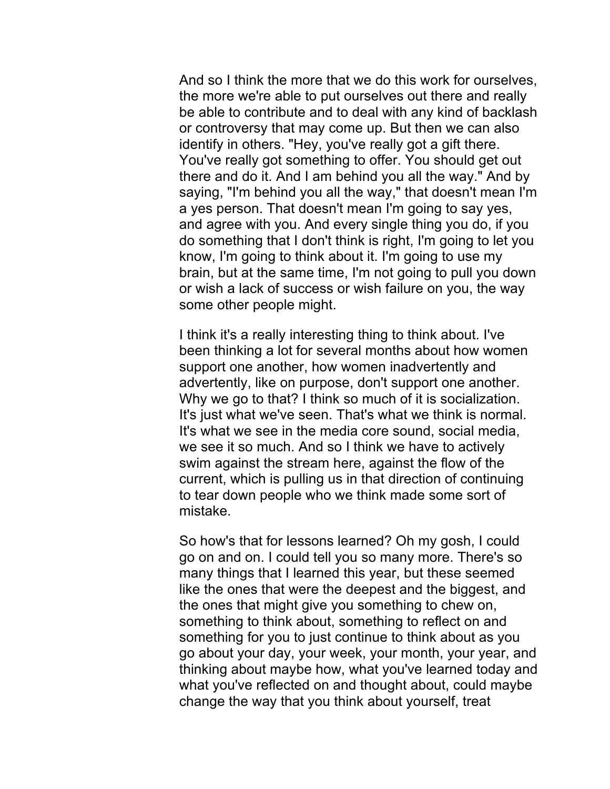And so I think the more that we do this work for ourselves, the more we're able to put ourselves out there and really be able to contribute and to deal with any kind of backlash or controversy that may come up. But then we can also identify in others. "Hey, you've really got a gift there. You've really got something to offer. You should get out there and do it. And I am behind you all the way." And by saying, "I'm behind you all the way," that doesn't mean I'm a yes person. That doesn't mean I'm going to say yes, and agree with you. And every single thing you do, if you do something that I don't think is right, I'm going to let you know, I'm going to think about it. I'm going to use my brain, but at the same time, I'm not going to pull you down or wish a lack of success or wish failure on you, the way some other people might.

I think it's a really interesting thing to think about. I've been thinking a lot for several months about how women support one another, how women inadvertently and advertently, like on purpose, don't support one another. Why we go to that? I think so much of it is socialization. It's just what we've seen. That's what we think is normal. It's what we see in the media core sound, social media, we see it so much. And so I think we have to actively swim against the stream here, against the flow of the current, which is pulling us in that direction of continuing to tear down people who we think made some sort of mistake.

So how's that for lessons learned? Oh my gosh, I could go on and on. I could tell you so many more. There's so many things that I learned this year, but these seemed like the ones that were the deepest and the biggest, and the ones that might give you something to chew on, something to think about, something to reflect on and something for you to just continue to think about as you go about your day, your week, your month, your year, and thinking about maybe how, what you've learned today and what you've reflected on and thought about, could maybe change the way that you think about yourself, treat